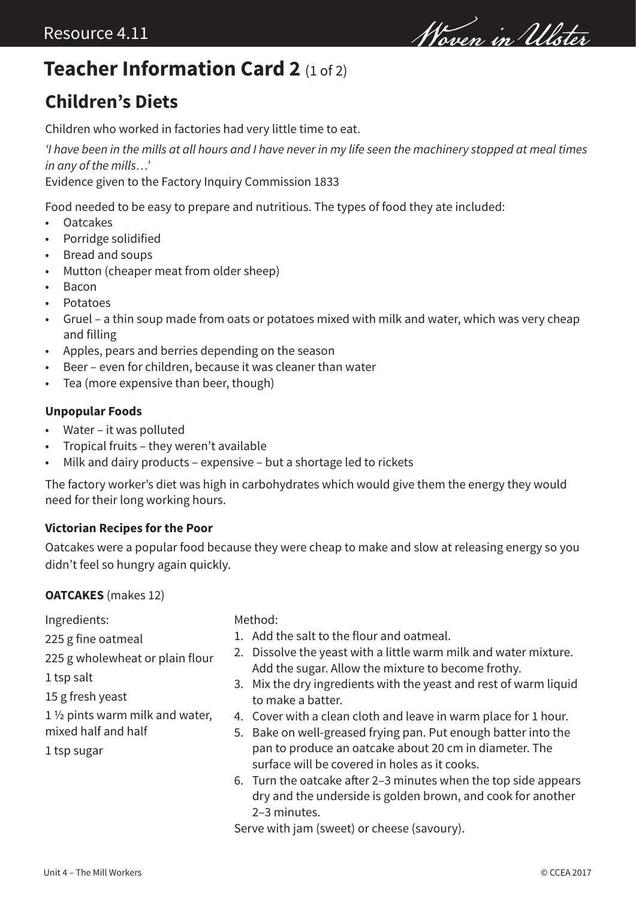Wowen in Ulster

## **Teacher Information Card 2** (1 of 2)

### **Children's Diets**

Children who worked in factories had very little time to eat.

*'I have been in the mills at all hours and I have never in my life seen the machinery stopped at meal times in any of the mills…'*

Evidence given to the Factory Inquiry Commission 1833

Food needed to be easy to prepare and nutritious. The types of food they ate included:

- Oatcakes
- Porridge solidified
- Bread and soups
- Mutton (cheaper meat from older sheep)
- Bacon
- Potatoes
- Gruel a thin soup made from oats or potatoes mixed with milk and water, which was very cheap and filling
- Apples, pears and berries depending on the season
- Beer even for children, because it was cleaner than water
- Tea (more expensive than beer, though)

#### **Unpopular Foods**

- Water it was polluted
- Tropical fruits they weren't available
- Milk and dairy products expensive but a shortage led to rickets

The factory worker's diet was high in carbohydrates which would give them the energy they would need for their long working hours.

#### **Victorian Recipes for the Poor**

Oatcakes were a popular food because they were cheap to make and slow at releasing energy so you didn't feel so hungry again quickly.

#### **OATCAKES** (makes 12)

Ingredients:

- 225 g fine oatmeal
- 225 g wholewheat or plain flour
- 1 tsp salt
- 15 g fresh yeast
- 1 ½ pints warm milk and water, mixed half and half
- 1 tsp sugar

Method:

- 1. Add the salt to the flour and oatmeal.
- 2. Dissolve the yeast with a little warm milk and water mixture. Add the sugar. Allow the mixture to become frothy.
- 3. Mix the dry ingredients with the yeast and rest of warm liquid to make a batter.
- 4. Cover with a clean cloth and leave in warm place for 1 hour.
- 5. Bake on well-greased frying pan. Put enough batter into the pan to produce an oatcake about 20 cm in diameter. The surface will be covered in holes as it cooks.
- 6. Turn the oatcake after 2–3 minutes when the top side appears dry and the underside is golden brown, and cook for another 2–3 minutes.

Serve with jam (sweet) or cheese (savoury).